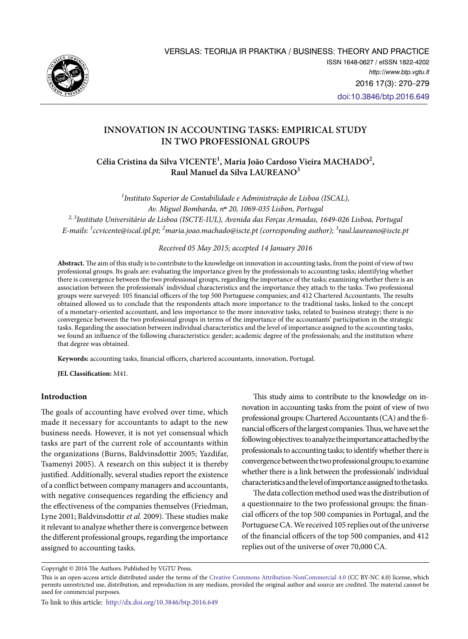

# **INNOVATION IN ACCOUNTING TASKS: EMPIRICAL STUDY IN TWO PROFESSIONAL GROUPS**

**Célia Cristina da Silva VICENTE1 , Maria João Cardoso Vieira MACHADO2 , Raul Manuel da Silva LAUREANO3**

*1 Instituto Superior de Contabilidade e Administração de Lisboa (ISCAL), Av. Miguel Bombarda, n***º** *20, 1069-035 Lisbon, Portugal 2, 3Instituto Universitário de Lisboa (ISCTE-IUL), Avenida das Forças Armadas, 1649-026 Lisboa, Portugal E-mails: 1 [ccvicente@iscal.ipl.pt](mailto:1ccvicente@iscal.ipl.pt); 2 [maria.joao.machado@iscte.pt](mailto:2maria.joao.machado@iscte.pt) (corresponding author); 3 [raul.laureano@iscte.pt](mailto:3raul.laureano@iscte.pt)*

## *Received 05 May 2015; accepted 14 January 2016*

**Abstract.** The aim of this study is to contribute to the knowledge on innovation in accounting tasks, from the point of view of two professional groups. Its goals are: evaluating the importance given by the professionals to accounting tasks; identifying whether there is convergence between the two professional groups, regarding the importance of the tasks; examining whether there is an association between the professionals' individual characteristics and the importance they attach to the tasks. Two professional groups were surveyed: 105 financial officers of the top 500 Portuguese companies; and 412 Chartered Accountants. The results obtained allowed us to conclude that the respondents attach more importance to the traditional tasks, linked to the concept of a monetary-oriented accountant, and less importance to the more innovative tasks, related to business strategy; there is no convergence between the two professional groups in terms of the importance of the accountants' participation in the strategic tasks. Regarding the association between individual characteristics and the level of importance assigned to the accounting tasks, we found an influence of the following characteristics: gender; academic degree of the professionals; and the institution where that degree was obtained.

**Keywords:** accounting tasks, financial officers, chartered accountants, innovation, Portugal.

**JEL Classification:** M41.

## **Introduction**

The goals of accounting have evolved over time, which made it necessary for accountants to adapt to the new business needs. However, it is not yet consensual which tasks are part of the current role of accountants within the organizations (Burns, Baldvinsdottir 2005; Yazdifar, Tsamenyi 2005). A research on this subject it is thereby justified. Additionally, several studies report the existence of a conflict between company managers and accountants, with negative consequences regarding the efficiency and the effectiveness of the companies themselves (Friedman, Lyne 2001; Baldvinsdottir *et al.* 2009). These studies make it relevant to analyze whether there is convergence between the different professional groups, regarding the importance assigned to accounting tasks.

This study aims to contribute to the knowledge on innovation in accounting tasks from the point of view of two professional groups: Chartered Accountants (CA) and the financial officers of the largest companies. Thus, we have set the following objectives: to analyze the importance attached by the professionals to accounting tasks; to identify whether there is convergence between the two professional groups; to examine whether there is a link between the professionals' individual characteristics and the level of importance assigned to the tasks.

The data collection method used was the distribution of a questionnaire to the two professional groups: the financial officers of the top 500 companies in Portugal, and the Portuguese CA. We received 105 replies out of the universe of the financial officers of the top 500 companies, and 412 replies out of the universe of over 70,000 CA.

Copyright © 2016 The Authors. Published by VGTU Press.

This is an open-access article distributed under the terms of the [Creative Commons Attribution-NonCommercial 4.0](http://creativecommons.org/licenses/by-nc/4.0/) (CC BY-NC 4.0) license, which permits unrestricted use, distribution, and reproduction in any medium, provided the original author and source are credited. The material cannot be used for commercial purposes.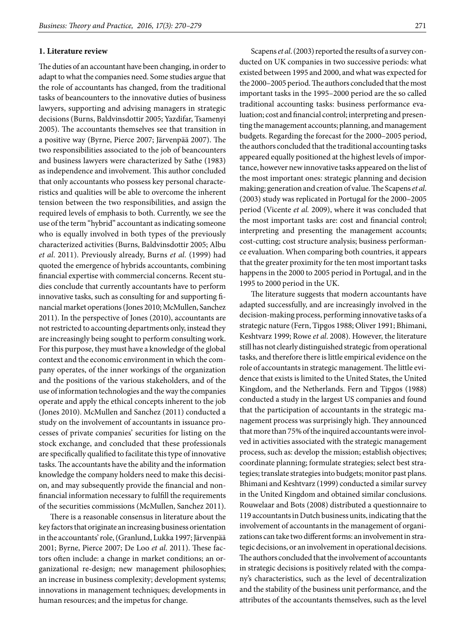### **1. Literature review**

The duties of an accountant have been changing, in order to adapt to what the companies need. Some studies argue that the role of accountants has changed, from the traditional tasks of beancounters to the innovative duties of business lawyers, supporting and advising managers in strategic decisions (Burns, Baldvinsdottir 2005; Yazdifar, Tsamenyi 2005). The accountants themselves see that transition in a positive way (Byrne, Pierce 2007; Järvenpää 2007). The two responsibilities associated to the job of beancounters and business lawyers were characterized by Sathe (1983) as independence and involvement. This author concluded that only accountants who possess key personal characteristics and qualities will be able to overcome the inherent tension between the two responsibilities, and assign the required levels of emphasis to both. Currently, we see the use of the term "hybrid" accountant as indicating someone who is equally involved in both types of the previously characterized activities (Burns, Baldvinsdottir 2005; Albu *et al*. 2011). Previously already, Burns *et al.* (1999) had quoted the emergence of hybrids accountants, combining financial expertise with commercial concerns. Recent studies conclude that currently accountants have to perform innovative tasks, such as consulting for and supporting financial market operations (Jones 2010; McMullen, Sanchez 2011). In the perspective of Jones (2010), accountants are not restricted to accounting departments only, instead they are increasingly being sought to perform consulting work. For this purpose, they must have a knowledge of the global context and the economic environment in which the company operates, of the inner workings of the organization and the positions of the various stakeholders, and of the use of information technologies and the way the companies operate and apply the ethical concepts inherent to the job (Jones 2010). McMullen and Sanchez (2011) conducted a study on the involvement of accountants in issuance processes of private companies' securities for listing on the stock exchange, and concluded that these professionals are specifically qualified to facilitate this type of innovative tasks. The accountants have the ability and the information knowledge the company holders need to make this decision, and may subsequently provide the financial and nonfinancial information necessary to fulfill the requirements of the securities commissions (McMullen, Sanchez 2011).

There is a reasonable consensus in literature about the key factors that originate an increasing business orientation in the accountants' role, (Granlund, Lukka 1997; Järvenpää 2001; Byrne, Pierce 2007; De Loo *et al*. 2011). These factors often include: a change in market conditions; an organizational re-design; new management philosophies; an increase in business complexity; development systems; innovations in management techniques; developments in human resources; and the impetus for change.

Scapens *et al*. (2003) reported the results of a survey conducted on UK companies in two successive periods: what existed between 1995 and 2000, and what was expected for the 2000–2005 period. The authors concluded that the most important tasks in the 1995–2000 period are the so called traditional accounting tasks: business performance evaluation; cost and financial control; interpreting and presenting the management accounts; planning, and management budgets. Regarding the forecast for the 2000–2005 period, the authors concluded that the traditional accounting tasks appeared equally positioned at the highest levels of importance, however new innovative tasks appeared on the list of the most important ones: strategic planning and decision making; generation and creation of value. The Scapens *et al*. (2003) study was replicated in Portugal for the 2000–2005 period (Vicente *et al.* 2009), where it was concluded that the most important tasks are: cost and financial control; interpreting and presenting the management accounts; cost-cutting; cost structure analysis; business performance evaluation. When comparing both countries, it appears that the greater proximity for the ten most important tasks happens in the 2000 to 2005 period in Portugal, and in the 1995 to 2000 period in the UK.

The literature suggests that modern accountants have adapted successfully, and are increasingly involved in the decision-making process, performing innovative tasks of a strategic nature (Fern, Tipgos 1988; Oliver 1991; Bhimani, Keshtvarz 1999; Rowe *et al*. 2008). However, the literature still has not clearly distinguished strategic from operational tasks, and therefore there is little empirical evidence on the role of accountants in strategic management. The little evidence that exists is limited to the United States, the United Kingdom, and the Netherlands. Fern and Tipgos (1988) conducted a study in the largest US companies and found that the participation of accountants in the strategic management process was surprisingly high. They announced that more than 75% of the inquired accountants were involved in activities associated with the strategic management process, such as: develop the mission; establish objectives; coordinate planning; formulate strategies; select best strategies; translate strategies into budgets; monitor past plans. Bhimani and Keshtvarz (1999) conducted a similar survey in the United Kingdom and obtained similar conclusions. Rouwelaar and Bots (2008) distributed a questionnaire to 119 accountants in Dutch business units, indicating that the involvement of accountants in the management of organizations can take two different forms: an involvement in strategic decisions, or an involvement in operational decisions. The authors concluded that the involvement of accountants in strategic decisions is positively related with the company's characteristics, such as the level of decentralization and the stability of the business unit performance, and the attributes of the accountants themselves, such as the level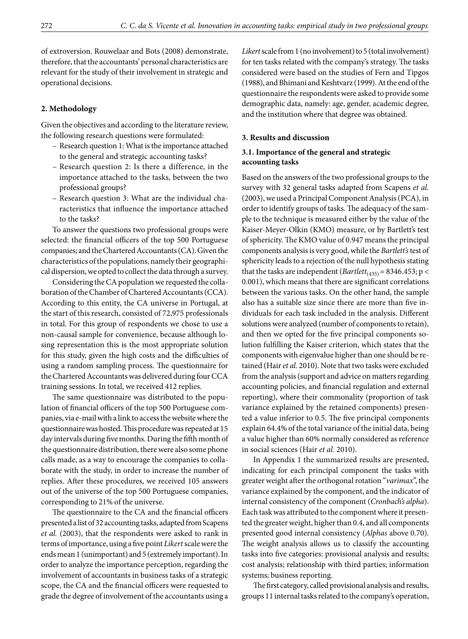of extroversion. Rouwelaar and Bots (2008) demonstrate, therefore, that the accountants' personal characteristics are relevant for the study of their involvement in strategic and operational decisions.

## **2. Methodology**

Given the objectives and according to the literature review, the following research questions were formulated:

- Research question 1: What is the importance attached to the general and strategic accounting tasks?
- Research question 2: Is there a difference, in the importance attached to the tasks, between the two professional groups?
- Research question 3: What are the individual characteristics that influence the importance attached to the tasks?

To answer the questions two professional groups were selected: the financial officers of the top 500 Portuguese companies; and the Chartered Accountants (CA). Given the characteristics of the populations, namely their geographical dispersion, we opted to collect the data through a survey.

Considering the CA population we requested the collaboration of the Chamber of Chartered Accountants (CCA). According to this entity, the CA universe in Portugal, at the start of this research, consisted of 72,975 professionals in total. For this group of respondents we chose to use a non-causal sample for convenience, because although losing representation this is the most appropriate solution for this study, given the high costs and the difficulties of using a random sampling process. The questionnaire for the Chartered Accountants was delivered during four CCA training sessions. In total, we received 412 replies.

The same questionnaire was distributed to the population of financial officers of the top 500 Portuguese companies, via e-mail with a link to access the website where the questionnaire was hosted. This procedure was repeated at 15 day intervals during five months. During the fifth month of the questionnaire distribution, there were also some phone calls made, as a way to encourage the companies to collaborate with the study, in order to increase the number of replies. After these procedures, we received 105 answers out of the universe of the top 500 Portuguese companies, corresponding to 21% of the universe.

The questionnaire to the CA and the financial officers presented a list of 32 accounting tasks, adapted from Scapens *et al.* (2003), that the respondents were asked to rank in terms of importance, using a five point *Likert* scale were the ends mean 1 (unimportant) and 5 (extremely important). In order to analyze the importance perception, regarding the involvement of accountants in business tasks of a strategic scope, the CA and the financial officers were requested to grade the degree of involvement of the accountants using a

*Likert* scale from 1 (no involvement) to 5 (total involvement) for ten tasks related with the company's strategy. The tasks considered were based on the studies of Fern and Tipgos (1988), and Bhimani and Keshtvarz (1999). At the end of the questionnaire the respondents were asked to provide some demographic data, namely: age, gender, academic degree, and the institution where that degree was obtained.

### **3. Results and discussion**

# **3.1. Importance of the general and strategic accounting tasks**

Based on the answers of the two professional groups to the survey with 32 general tasks adapted from Scapens *et al.* (2003), we used a Principal Component Analysis (PCA), in order to identify groups of tasks. The adequacy of the sample to the technique is measured either by the value of the Kaiser-Meyer-Olkin (KMO) measure, or by Bartlett's test of sphericity. The KMO value of 0.947 means the principal components analysis is very good, while the *Bartlett's* test of sphericity leads to a rejection of the null hypothesis stating that the tasks are independent  $(Bartlett_{(435)} = 8346.453; p <$ 0.001), which means that there are significant correlations between the various tasks. On the other hand, the sample also has a suitable size since there are more than five individuals for each task included in the analysis. Different solutions were analyzed (number of components to retain), and then we opted for the five principal components solution fulfilling the Kaiser criterion, which states that the components with eigenvalue higher than one should be retained (Hair *et al.* 2010). Note that two tasks were excluded from the analysis (support and advice on matters regarding accounting policies, and financial regulation and external reporting), where their commonality (proportion of task variance explained by the retained components) presented a value inferior to 0.5. The five principal components explain 64.4% of the total variance of the initial data, being a value higher than 60% normally considered as reference in social sciences (Hair *et al.* 2010).

In Appendix 1 the summarized results are presented, indicating for each principal component the tasks with greater weight after the orthogonal rotation "*varimax*", the variance explained by the component, and the indicator of internal consistency of the component (*Cronbach's alpha*). Each task was attributed to the component where it presented the greater weight, higher than 0.4, and all components presented good internal consistency (*Alphas* above 0.70). The weight analysis allows us to classify the accounting tasks into five categories: provisional analysis and results; cost analysis; relationship with third parties; information systems; business reporting.

The first category, called provisional analysis and results, groups 11 internal tasks related to the company's operation,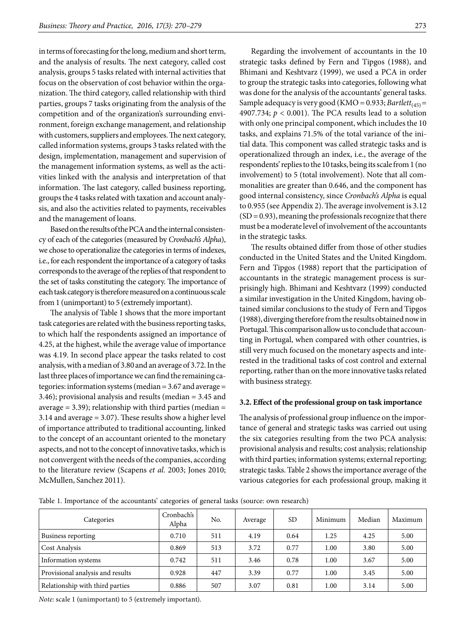in terms of forecasting for the long, medium and short term, and the analysis of results. The next category, called cost analysis, groups 5 tasks related with internal activities that focus on the observation of cost behavior within the organization. The third category, called relationship with third parties, groups 7 tasks originating from the analysis of the competition and of the organization's surrounding environment, foreign exchange management, and relationship with customers, suppliers and employees. The next category, called information systems, groups 3 tasks related with the design, implementation, management and supervision of the management information systems, as well as the activities linked with the analysis and interpretation of that information. The last category, called business reporting, groups the 4 tasks related with taxation and account analysis, and also the activities related to payments, receivables and the management of loans.

Based on the results of the PCA and the internal consistency of each of the categories (measured by *Cronbach's Alpha*), we chose to operationalize the categories in terms of indexes, i.e., for each respondent the importance of a category of tasks corresponds to the average of the replies of that respondent to the set of tasks constituting the category. The importance of each task category is therefore measured on a continuous scale from 1 (unimportant) to 5 (extremely important).

The analysis of Table 1 shows that the more important task categories are related with the business reporting tasks, to which half the respondents assigned an importance of 4.25, at the highest, while the average value of importance was 4.19. In second place appear the tasks related to cost analysis, with a median of 3.80 and an average of 3.72. In the last three places of importance we can find the remaining categories: information systems (median = 3.67 and average = 3.46); provisional analysis and results (median = 3.45 and average  $= 3.39$ ); relationship with third parties (median  $=$ 3.14 and average = 3.07). These results show a higher level of importance attributed to traditional accounting, linked to the concept of an accountant oriented to the monetary aspects, and not to the concept of innovative tasks, which is not convergent with the needs of the companies, according to the literature review (Scapens *et al*. 2003; Jones 2010; McMullen, Sanchez 2011).

Regarding the involvement of accountants in the 10 strategic tasks defined by Fern and Tipgos (1988), and Bhimani and Keshtvarz (1999), we used a PCA in order to group the strategic tasks into categories, following what was done for the analysis of the accountants' general tasks. Sample adequacy is very good (KMO = 0.933; *Bartlett*(45) = 4907.734; *p* < 0.001). The PCA results lead to a solution with only one principal component, which includes the 10 tasks, and explains 71.5% of the total variance of the initial data. This component was called strategic tasks and is operationalized through an index, i.e., the average of the respondents' replies to the 10 tasks, being its scale from 1 (no involvement) to 5 (total involvement). Note that all commonalities are greater than 0.646, and the component has good internal consistency, since *Cronbach's Alpha* is equal to 0.955 (see Appendix 2). The average involvement is 3.12  $(SD = 0.93)$ , meaning the professionals recognize that there must be a moderate level of involvement of the accountants in the strategic tasks.

The results obtained differ from those of other studies conducted in the United States and the United Kingdom. Fern and Tipgos (1988) report that the participation of accountants in the strategic management process is surprisingly high. Bhimani and Keshtvarz (1999) conducted a similar investigation in the United Kingdom, having obtained similar conclusions to the study of Fern and Tipgos (1988), diverging therefore from the results obtained now in Portugal. This comparison allow us to conclude that accounting in Portugal, when compared with other countries, is still very much focused on the monetary aspects and interested in the traditional tasks of cost control and external reporting, rather than on the more innovative tasks related with business strategy.

# **3.2. Effect of the professional group on task importance**

The analysis of professional group influence on the importance of general and strategic tasks was carried out using the six categories resulting from the two PCA analysis: provisional analysis and results; cost analysis; relationship with third parties; information systems; external reporting; strategic tasks. Table 2 shows the importance average of the various categories for each professional group, making it

Table 1. Importance of the accountants' categories of general tasks (source: own research)

| Categories                       | Cronbach's<br>Alpha | No. | Average | <b>SD</b> | Minimum | Median | Maximum |
|----------------------------------|---------------------|-----|---------|-----------|---------|--------|---------|
| Business reporting               | 0.710               | 511 | 4.19    | 0.64      | 1.25    | 4.25   | 5.00    |
| <b>Cost Analysis</b>             | 0.869               | 513 | 3.72    | 0.77      | 1.00    | 3.80   | 5.00    |
| Information systems              | 0.742               | 511 | 3.46    | 0.78      | 1.00    | 3.67   | 5.00    |
| Provisional analysis and results | 0.928               | 447 | 3.39    | 0.77      | 1.00    | 3.45   | 5.00    |
| Relationship with third parties  | 0.886               | 507 | 3.07    | 0.81      | 1.00    | 3.14   | 5.00    |

*Note:* scale 1 (unimportant) to 5 (extremely important).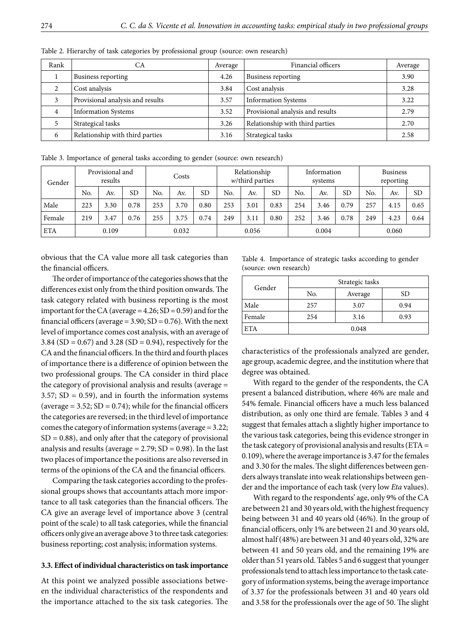| Rank | СA                               | Average | Financial officers               | Average |
|------|----------------------------------|---------|----------------------------------|---------|
|      | Business reporting               | 4.26    | Business reporting               | 3.90    |
|      | Cost analysis                    | 3.84    | Cost analysis                    | 3.28    |
| 3    | Provisional analysis and results | 3.57    | <b>Information Systems</b>       | 3.22    |
| 4    | <b>Information Systems</b>       | 3.52    | Provisional analysis and results | 2.79    |
|      | Strategical tasks                | 3.26    | Relationship with third parties  | 2.70    |
| 6    | Relationship with third parties  | 3.16    | Strategical tasks                | 2.58    |

Table 2. Hierarchy of task categories by professional group (source: own research)

Table 3. Importance of general tasks according to gender (source: own research)

| Gender     |     | Provisional and<br>results |           | Costs |       | Relationship<br>$w$ /third parties |     |       |           | Information<br>systems |       | <b>Business</b><br>reporting |     |       |           |
|------------|-----|----------------------------|-----------|-------|-------|------------------------------------|-----|-------|-----------|------------------------|-------|------------------------------|-----|-------|-----------|
|            | No. | Av.                        | <b>SD</b> | No.   | Av.   | <b>SD</b>                          | No. | Av.   | <b>SD</b> | No.                    | Av.   | <b>SD</b>                    | No. | Av.   | <b>SD</b> |
| Male       | 223 | 3.30                       | 0.78      | 253   | 3.70  | 0.80                               | 253 | 3.01  | 0.83      | 254                    | 3.46  | 0.79                         | 257 | 4.15  | 0.65      |
| Female     | 219 | 3.47                       | 0.76      | 255   | 3.75  | 0.74                               | 249 | 3.11  | 0.80      | 252                    | 3.46  | 0.78                         | 249 | 4.23  | 0.64      |
| <b>ETA</b> |     | 0.109                      |           |       | 0.032 |                                    |     | 0.056 |           |                        | 0.004 |                              |     | 0.060 |           |

obvious that the CA value more all task categories than the financial officers.

The order of importance of the categories shows that the differences exist only from the third position onwards. The task category related with business reporting is the most important for the CA (average  $= 4.26$ ; SD  $= 0.59$ ) and for the financial officers (average =  $3.90$ ; SD =  $0.76$ ). With the next level of importance comes cost analysis, with an average of 3.84 (SD = 0.67) and 3.28 (SD = 0.94), respectively for the CA and the financial officers. In the third and fourth places of importance there is a difference of opinion between the two professional groups. The CA consider in third place the category of provisional analysis and results (average =  $3.57$ ; SD = 0.59), and in fourth the information systems (average  $= 3.52$ ; SD  $= 0.74$ ); while for the financial officers the categories are reversed; in the third level of importance comes the category of information systems (average = 3.22;  $SD = 0.88$ ), and only after that the category of provisional analysis and results (average  $= 2.79$ ; SD  $= 0.98$ ). In the last two places of importance the positions are also reversed in terms of the opinions of the CA and the financial officers.

Comparing the task categories according to the professional groups shows that accountants attach more importance to all task categories than the financial officers. The CA give an average level of importance above 3 (central point of the scale) to all task categories, while the financial officers only give an average above 3 to three task categories: business reporting; cost analysis; information systems.

#### **3.3. Effect of individual characteristics on task importance**

At this point we analyzed possible associations between the individual characteristics of the respondents and the importance attached to the six task categories. The

Table 4. Importance of strategic tasks according to gender (source: own research)

| Gender     | Strategic tasks |         |      |  |  |  |  |  |
|------------|-----------------|---------|------|--|--|--|--|--|
|            | No.             | Average | SD   |  |  |  |  |  |
| Male       | 257             | 3.07    | 0.94 |  |  |  |  |  |
| Female     | 254             | 3.16    | 0.93 |  |  |  |  |  |
| <b>ETA</b> |                 | 0.048   |      |  |  |  |  |  |

characteristics of the professionals analyzed are gender, age group, academic degree, and the institution where that degree was obtained.

With regard to the gender of the respondents, the CA present a balanced distribution, where 46% are male and 54% female. Financial officers have a much less balanced distribution, as only one third are female. Tables 3 and 4 suggest that females attach a slightly higher importance to the various task categories, being this evidence stronger in the task category of provisional analysis and results (ETA = 0.109), where the average importance is 3.47 for the females and 3.30 for the males. The slight differences between genders always translate into weak relationships between gender and the importance of each task (very low *Eta* values).

With regard to the respondents' age, only 9% of the CA are between 21 and 30 years old, with the highest frequency being between 31 and 40 years old (46%). In the group of financial officers, only 1% are between 21 and 30 years old, almost half (48%) are between 31 and 40 years old, 32% are between 41 and 50 years old, and the remaining 19% are older than 51 years old. Tables 5 and 6 suggest that younger professionals tend to attach less importance to the task category of information systems, being the average importance of 3.37 for the professionals between 31 and 40 years old and 3.58 for the professionals over the age of 50. The slight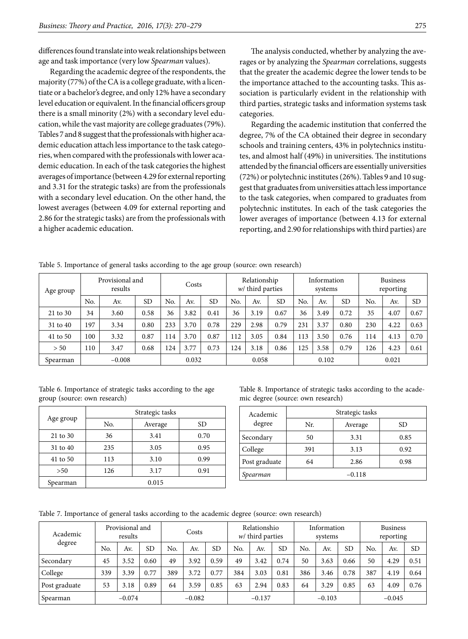differences found translate into weak relationships between age and task importance (very low *Spearman* values).

Regarding the academic degree of the respondents, the majority (77%) of the CA is a college graduate, with a licentiate or a bachelor's degree, and only 12% have a secondary level education or equivalent. In the financial officers group there is a small minority (2%) with a secondary level education, while the vast majority are college graduates (79%). Tables 7 and 8 suggest that the professionals with higher academic education attach less importance to the task categories, when compared with the professionals with lower academic education. In each of the task categories the highest averages of importance (between 4.29 for external reporting and 3.31 for the strategic tasks) are from the professionals with a secondary level education. On the other hand, the lowest averages (between 4.09 for external reporting and 2.86 for the strategic tasks) are from the professionals with a higher academic education.

The analysis conducted, whether by analyzing the averages or by analyzing the *Spearman* correlations, suggests that the greater the academic degree the lower tends to be the importance attached to the accounting tasks. This association is particularly evident in the relationship with third parties, strategic tasks and information systems task categories.

Regarding the academic institution that conferred the degree, 7% of the CA obtained their degree in secondary schools and training centers, 43% in polytechnics institutes, and almost half (49%) in universities. The institutions attended by the financial officers are essentially universities (72%) or polytechnic institutes (26%). Tables 9 and 10 suggest that graduates from universities attach less importance to the task categories, when compared to graduates from polytechnic institutes. In each of the task categories the lower averages of importance (between 4.13 for external reporting, and 2.90 for relationships with third parties) are

| Age group |     | Provisional and<br>results | Costs     |     | Relationship<br>$w$ / third parties |           |       |      | Information<br>systems |     | <b>Business</b><br>reporting |           |     |      |           |
|-----------|-----|----------------------------|-----------|-----|-------------------------------------|-----------|-------|------|------------------------|-----|------------------------------|-----------|-----|------|-----------|
|           | No. | Av.                        | <b>SD</b> | No. | Av.                                 | <b>SD</b> | No.   | Av.  | <b>SD</b>              | No. | Av.                          | <b>SD</b> | No. | Av.  | <b>SD</b> |
| 21 to 30  | 34  | 3.60                       | 0.58      | 36  | 3.82                                | 0.41      | 36    | 3.19 | 0.67                   | 36  | 3.49                         | 0.72      | 35  | 4.07 | 0.67      |
| 31 to 40  | 197 | 3.34                       | 0.80      | 233 | 3.70                                | 0.78      | 229   | 2.98 | 0.79                   | 231 | 3.37                         | 0.80      | 230 | 4.22 | 0.63      |
| 41 to 50  | 100 | 3.32                       | 0.87      | 114 | 3.70                                | 0.87      | 112   | 3.05 | 0.84                   | 113 | 3.50                         | 0.76      | 114 | 4.13 | 0.70      |
| > 50      | 110 | 3.47                       | 0.68      | 124 | 3.77                                | 0.73      | 124   | 3.18 | 0.86                   | 125 | 3.58                         | 0.79      | 126 | 4.23 | 0.61      |
| Spearman  |     | $-0.008$                   |           |     | 0.032                               |           | 0.058 |      | 0.102                  |     |                              | 0.021     |     |      |           |

Table 5. Importance of general tasks according to the age group (source: own research)

Table 6. Importance of strategic tasks according to the age group (source: own research)

|           |     | Strategic tasks |      |
|-----------|-----|-----------------|------|
| Age group | No. | Average         | SD   |
| 21 to 30  | 36  | 3.41            | 0.70 |
| 31 to 40  | 235 | 3.05            | 0.95 |
| 41 to 50  | 113 | 3.10            | 0.99 |
| >50       | 126 | 3.17            | 0.91 |
| Spearman  |     | 0.015           |      |

Table 8. Importance of strategic tasks according to the academic degree (source: own research)

| Academic      |          | Strategic tasks |      |  |  |  |  |  |  |
|---------------|----------|-----------------|------|--|--|--|--|--|--|
| degree        | Nr.      | Average         | SD   |  |  |  |  |  |  |
| Secondary     | 50       | 3.31            | 0.85 |  |  |  |  |  |  |
| College       | 391      | 3.13            | 0.92 |  |  |  |  |  |  |
| Post graduate | 64       | 2.86            | 0.98 |  |  |  |  |  |  |
| Spearman      | $-0.118$ |                 |      |  |  |  |  |  |  |

Table 7. Importance of general tasks according to the academic degree (source: own research)

| Provisional and<br>Academic<br>results |     |          | Costs     |     |          | Relationshio<br>$w$ third parties |     |          | Information<br>systems |     |          | <b>Business</b><br>reporting |     |          |           |
|----------------------------------------|-----|----------|-----------|-----|----------|-----------------------------------|-----|----------|------------------------|-----|----------|------------------------------|-----|----------|-----------|
| degree                                 | No. | Av.      | <b>SD</b> | No. | Av.      | <b>SD</b>                         | No. | Av.      | <b>SD</b>              | No. | Av.      | <b>SD</b>                    | No. | Av.      | <b>SD</b> |
| Secondary                              | 45  | 3.52     | 0.60      | 49  | 3.92     | 0.59                              | 49  | 3.42     | 0.74                   | 50  | 3.63     | 0.66                         | 50  | 4.29     | 0.51      |
| College                                | 339 | 3.39     | 0.77      | 389 | 3.72     | 0.77                              | 384 | 3.03     | 0.81                   | 386 | 3.46     | 0.78                         | 387 | 4.19     | 0.64      |
| Post graduate                          | 53  | 3.18     | 0.89      | 64  | 3.59     | 0.85                              | 63  | 2.94     | 0.83                   | 64  | 3.29     | 0.85                         | 63  | 4.09     | 0.76      |
| Spearman                               |     | $-0.074$ |           |     | $-0.082$ |                                   |     | $-0.137$ |                        |     | $-0.103$ |                              |     | $-0.045$ |           |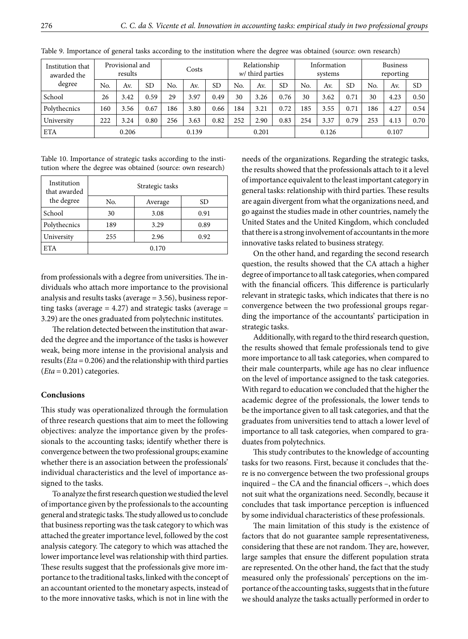| Institution that<br>awarded the |     | Provisional and<br>results |           |     | Costs |           | Relationship<br>$w$ / third parties |       |           | Information<br>systems |       |           | <b>Business</b><br>reporting |       |           |
|---------------------------------|-----|----------------------------|-----------|-----|-------|-----------|-------------------------------------|-------|-----------|------------------------|-------|-----------|------------------------------|-------|-----------|
| degree                          | No. | Av.                        | <b>SD</b> | No. | Av.   | <b>SD</b> | No.                                 | Av.   | <b>SD</b> | No.                    | Av.   | <b>SD</b> | No.                          | Av.   | <b>SD</b> |
| School                          | 26  | 3.42                       | 0.59      | 29  | 3.97  | 0.49      | 30                                  | 3.26  | 0.76      | 30                     | 3.62  | 0.71      | 30                           | 4.23  | 0.50      |
| Polythecnics                    | 160 | 3.56                       | 0.67      | 186 | 3.80  | 0.66      | 184                                 | 3.21  | 0.72      | 185                    | 3.55  | 0.71      | 186                          | 4.27  | 0.54      |
| University                      | 222 | 3.24                       | 0.80      | 256 | 3.63  | 0.82      | 252                                 | 2.90  | 0.83      | 254                    | 3.37  | 0.79      | 253                          | 4.13  | 0.70      |
| <b>ETA</b>                      |     | 0.206                      |           |     | 0.139 |           |                                     | 0.201 |           |                        | 0.126 |           |                              | 0.107 |           |

Table 9. Importance of general tasks according to the institution where the degree was obtained (source: own research)

Table 10. Importance of strategic tasks according to the institution where the degree was obtained (source: own research)

| Institution<br>that awarded |       | Strategic tasks |      |  |  |  |
|-----------------------------|-------|-----------------|------|--|--|--|
| the degree                  | No.   | Average         | SD   |  |  |  |
| School                      | 30    | 3.08            | 0.91 |  |  |  |
| Polythecnics                | 189   | 3.29            | 0.89 |  |  |  |
| University                  | 255   | 2.96            | 0.92 |  |  |  |
| <b>ETA</b>                  | 0.170 |                 |      |  |  |  |

from professionals with a degree from universities. The individuals who attach more importance to the provisional analysis and results tasks (average = 3.56), business reporting tasks (average  $= 4.27$ ) and strategic tasks (average  $=$ 3.29) are the ones graduated from polytechnic institutes.

The relation detected between the institution that awarded the degree and the importance of the tasks is however weak, being more intense in the provisional analysis and results (*Eta* = 0.206) and the relationship with third parties (*Eta* = 0.201) categories.

### **Conclusions**

This study was operationalized through the formulation of three research questions that aim to meet the following objectives: analyze the importance given by the professionals to the accounting tasks; identify whether there is convergence between the two professional groups; examine whether there is an association between the professionals' individual characteristics and the level of importance assigned to the tasks.

To analyze the first research question we studied the level of importance given by the professionals to the accounting general and strategic tasks. The study allowed us to conclude that business reporting was the task category to which was attached the greater importance level, followed by the cost analysis category. The category to which was attached the lower importance level was relationship with third parties. These results suggest that the professionals give more importance to the traditional tasks, linked with the concept of an accountant oriented to the monetary aspects, instead of to the more innovative tasks, which is not in line with the

needs of the organizations. Regarding the strategic tasks, the results showed that the professionals attach to it a level of importance equivalent to the least important category in general tasks: relationship with third parties. These results are again divergent from what the organizations need, and go against the studies made in other countries, namely the United States and the United Kingdom, which concluded that there is a strong involvement of accountants in the more innovative tasks related to business strategy.

On the other hand, and regarding the second research question, the results showed that the CA attach a higher degree of importance to all task categories, when compared with the financial officers. This difference is particularly relevant in strategic tasks, which indicates that there is no convergence between the two professional groups regarding the importance of the accountants' participation in strategic tasks.

Additionally, with regard to the third research question, the results showed that female professionals tend to give more importance to all task categories, when compared to their male counterparts, while age has no clear influence on the level of importance assigned to the task categories. With regard to education we concluded that the higher the academic degree of the professionals, the lower tends to be the importance given to all task categories, and that the graduates from universities tend to attach a lower level of importance to all task categories, when compared to graduates from polytechnics.

This study contributes to the knowledge of accounting tasks for two reasons. First, because it concludes that there is no convergence between the two professional groups inquired – the CA and the financial officers –, which does not suit what the organizations need. Secondly, because it concludes that task importance perception is influenced by some individual characteristics of these professionals.

The main limitation of this study is the existence of factors that do not guarantee sample representativeness, considering that these are not random. They are, however, large samples that ensure the different population strata are represented. On the other hand, the fact that the study measured only the professionals' perceptions on the importance of the accounting tasks, suggests that in the future we should analyze the tasks actually performed in order to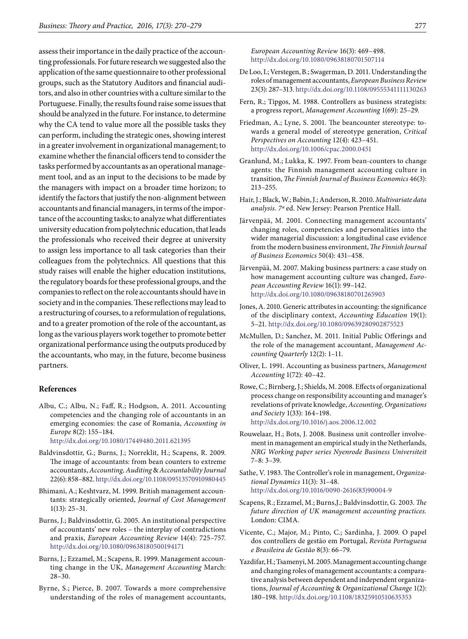assess their importance in the daily practice of the accounting professionals. For future research we suggested also the application of the same questionnaire to other professional groups, such as the Statutory Auditors and financial auditors, and also in other countries with a culture similar to the Portuguese. Finally, the results found raise some issues that should be analyzed in the future. For instance, to determine why the CA tend to value more all the possible tasks they can perform, including the strategic ones, showing interest in a greater involvement in organizational management; to examine whether the financial officers tend to consider the tasks performed by accountants as an operational management tool, and as an input to the decisions to be made by the managers with impact on a broader time horizon; to identify the factors that justify the non-alignment between accountants and financial managers, in terms of the importance of the accounting tasks; to analyze what differentiates university education from polytechnic education, that leads the professionals who received their degree at university to assign less importance to all task categories than their colleagues from the polytechnics. All questions that this study raises will enable the higher education institutions, the regulatory boards for these professional groups, and the companies to reflect on the role accountants should have in society and in the companies. These reflections may lead to a restructuring of courses, to a reformulation of regulations, and to a greater promotion of the role of the accountant, as long as the various players work together to promote better organizational performance using the outputs produced by the accountants, who may, in the future, become business partners.

### **References**

- Albu, C.; Albu, N.; Faff, R.; Hodgson, A. 2011. Accounting competencies and the changing role of accountants in an emerging economies: the case of Romania, *Accounting in Europe* 8(2): 155–184. <http://dx.doi.org/10.1080/17449480.2011.621395>
- Baldvinsdottir, G.; Burns, J.; Norreklit, H.; Scapens, R. 2009. The image of accountants: from bean counters to extreme accountants, *Accounting, Auditing* & *Accountability Journal*
- 22(6): 858–882.<http://dx.doi.org/10.1108/09513570910980445> Bhimani, A.; Keshtvarz, M. 1999. British management accoun-
- tants: strategically oriented, *Journal of Cost Management* 1(13): 25–31.
- Burns, J.; Baldvinsdottir, G. 2005. An institutional perspective of accountants' new roles – the interplay of contradictions and praxis, *European Accounting Review* 14(4): 725–757. <http://dx.doi.org/10.1080/09638180500194171>
- Burns, J.; Ezzamel, M.; Scapens, R. 1999. Management accounting change in the UK, *Management Accounting* March: 28–30.
- Byrne, S.; Pierce, B. 2007. Towards a more comprehensive understanding of the roles of management accountants,

*European Accounting Review* 16(3): 469–498. <http://dx.doi.org/10.1080/09638180701507114>

- De Loo, I.; Verstegen, B.; Swagerman, D. 2011. Understanding the roles of management accountants, *European Business Review* 23(3): 287–313.<http://dx.doi.org/10.1108/09555341111130263>
- Fern, R.; Tipgos, M. 1988. Controllers as business strategists: a progress report, *Management Accounting* 1(69): 25–29.
- Friedman, A.; Lyne, S. 2001. The beancounter stereotype: towards a general model of stereotype generation, *Critical Perspectives on Accounting* 12(4): 423–451. <http://dx.doi.org/10.1006/cpac.2000.0451>
- Granlund, M.; Lukka, K. 1997. From bean-counters to change agents: the Finnish management accounting culture in transition, *The Finnish Journal of Business Economics* 46(3): 213–255.
- Hair, J.; Black, W.; Babin, J.; Anderson, R. 2010. *Multivariate data analysis. 7ª* ed. New Jersey: Pearson Prentice Hall.
- Järvenpää, M. 2001. Connecting management accountants' changing roles, competencies and personalities into the wider managerial discussion: a longitudinal case evidence from the modern business environment, *The Finnish Journal of Business Economics* 50(4): 431–458.
- Järvenpää, M. 2007. Making business partners: a case study on how management accounting culture was changed, *European Accounting Review* 16(1): 99–142. <http://dx.doi.org/10.1080/09638180701265903>
- Jones, A. 2010. Generic attributes in accounting: the significance of the disciplinary context, *Accounting Education* 19(1): 5–21. <http://dx.doi.org/10.1080/09639280902875523>
- McMullen, D.; Sanchez, M. 2011. Initial Public Offerings and the role of the management accountant, *Management Accounting Quarterly* 12(2): 1–11.
- Oliver, L. 1991. Accounting as business partners, *Management Accounting* 1(72): 40–42.
- Rowe, C.; Birnberg, J.; Shields, M. 2008. Effects of organizational process change on responsibility accounting and manager's revelations of private knowledge, *Accounting, Organizations and Society* 1(33): 164–198. <http://dx.doi.org/10.1016/j.aos.2006.12.002>
- Rouwelaar, H.; Bots, J. 2008. Business unit controller involvement in management an empirical study in the Netherlands, *NRG Working paper series Nyenrode Business Universiteit* 7–8: 3–39.
- Sathe, V. 1983. The Controller's role in management, *Organizational Dynamics* 11(3): 31–48. [http://dx.doi.org/10.1016/0090-2616\(83\)90004-9](http://dx.doi.org/10.1016/0090-2616(83)90004-9)
- Scapens, R.; Ezzamel, M.; Burns,J.; Baldvinsdottir, G. 2003. *The future direction of UK management accounting practices.* London: CIMA.
- Vicente, C.; Major, M.; Pinto, C.; Sardinha, J. 2009. O papel dos controllers de gestão em Portugal, *Revista Portuguesa e Brasileira de Gestão* 8(3): 66–79.
- Yazdifar, H.; Tsamenyi, M. 2005. Management accounting change and changing roles of management accountants: a comparative analysis between dependent and independent organizations, *Journal of Accounting* & *Organizational Change* 1(2): 180–198.<http://dx.doi.org/10.1108/18325910510635353>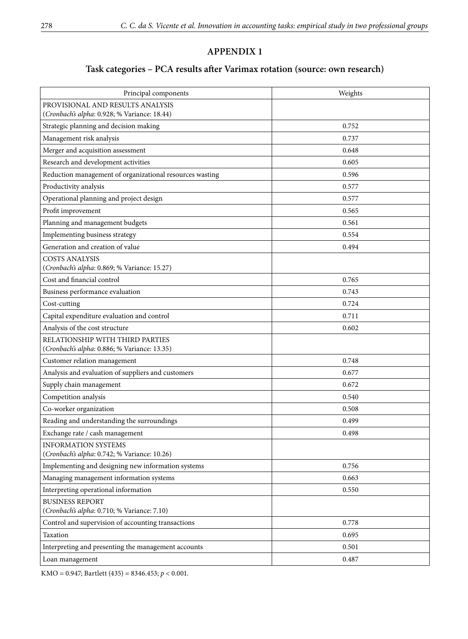# **APPENDIX 1**

# **Task categories – PCA results after Varimax rotation (source: own research)**

| Principal components                                                             | Weights |
|----------------------------------------------------------------------------------|---------|
| PROVISIONAL AND RESULTS ANALYSIS<br>(Cronbach's alpha: 0.928; % Variance: 18.44) |         |
| Strategic planning and decision making                                           | 0.752   |
| Management risk analysis                                                         | 0.737   |
| Merger and acquisition assessment                                                | 0.648   |
| Research and development activities                                              | 0.605   |
| Reduction management of organizational resources wasting                         | 0.596   |
| Productivity analysis                                                            | 0.577   |
| Operational planning and project design                                          | 0.577   |
| Profit improvement                                                               | 0.565   |
| Planning and management budgets                                                  | 0.561   |
| Implementing business strategy                                                   | 0.554   |
| Generation and creation of value                                                 | 0.494   |
| <b>COSTS ANALYSIS</b><br>(Cronbach's alpha: 0.869; % Variance: 15.27)            |         |
| Cost and financial control                                                       | 0.765   |
| Business performance evaluation                                                  | 0.743   |
| Cost-cutting                                                                     | 0.724   |
| Capital expenditure evaluation and control                                       | 0.711   |
| Analysis of the cost structure                                                   | 0.602   |
| RELATIONSHIP WITH THIRD PARTIES<br>(Cronbach's alpha: 0.886; % Variance: 13.35)  |         |
| Customer relation management                                                     | 0.748   |
| Analysis and evaluation of suppliers and customers                               | 0.677   |
| Supply chain management                                                          | 0.672   |
| Competition analysis                                                             | 0.540   |
| Co-worker organization                                                           | 0.508   |
| Reading and understanding the surroundings                                       | 0.499   |
| Exchange rate / cash management                                                  | 0.498   |
| <b>INFORMATION SYSTEMS</b><br>(Cronbach's alpha: 0.742; % Variance: 10.26)       |         |
| Implementing and designing new information systems                               | 0.756   |
| Managing management information systems                                          | 0.663   |
| Interpreting operational information                                             | 0.550   |
| <b>BUSINESS REPORT</b><br>(Cronbach's alpha: 0.710; % Variance: 7.10)            |         |
| Control and supervision of accounting transactions                               | 0.778   |
| Taxation                                                                         | 0.695   |
| Interpreting and presenting the management accounts                              | 0.501   |
| Loan management                                                                  | 0.487   |

KMO = 0.947; Bartlett (435) = 8346.453; *p* < 0.001.